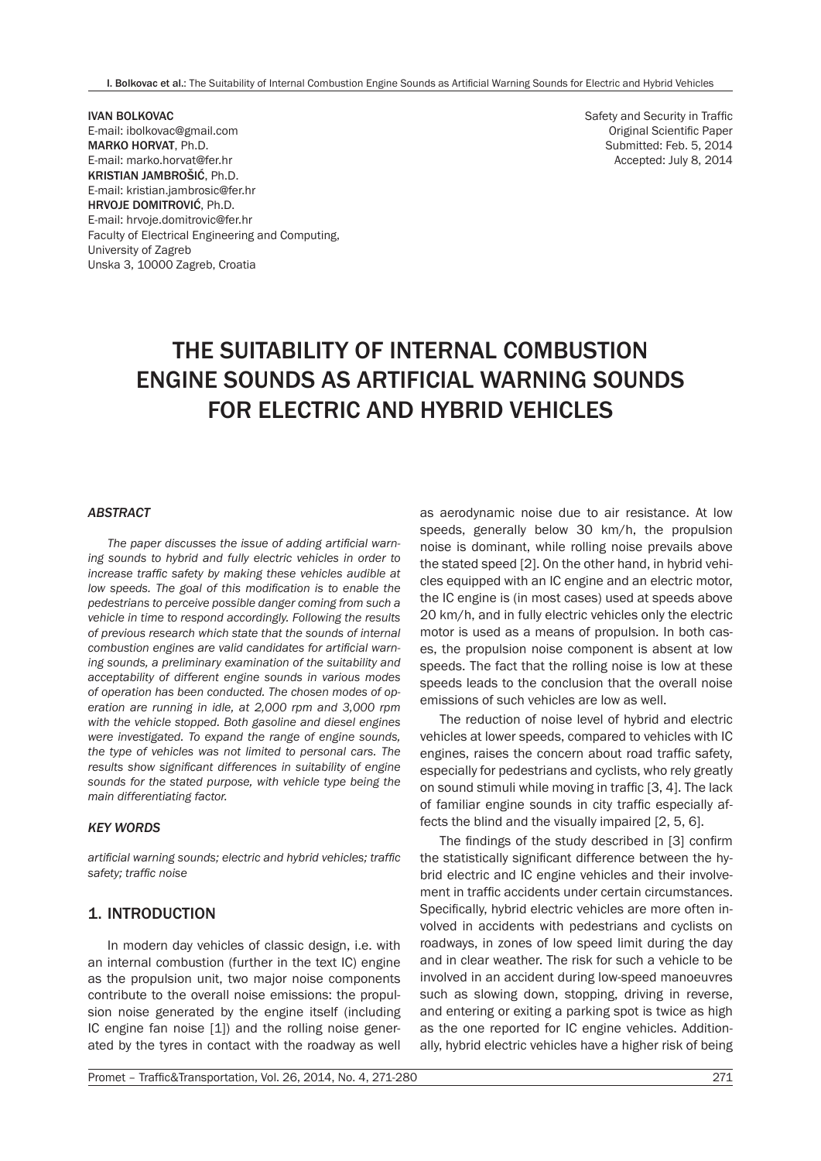I. Bolkovac et al.: The Suitability of Internal Combustion Engine Sounds as Artificial Warning Sounds for Electric and Hybrid Vehicles

IVAN BOLKOVAC E-mail: ibolkovac@gmail.com MARKO HORVAT, Ph.D. E-mail: marko.horvat@fer.hr KRISTIAN JAMBROŠIĆ, Ph.D. E-mail: kristian.jambrosic@fer.hr HRVOJE DOMITROVIĆ, Ph.D. E-mail: hrvoje.domitrovic@fer.hr Faculty of Electrical Engineering and Computing, University of Zagreb Unska 3, 10000 Zagreb, Croatia

Safety and Security in Traffic Original Scientific Paper Submitted: Feb. 5, 2014 Accepted: July 8, 2014

# THE SUITABILITY OF INTERNAL COMBUSTION ENGINE SOUNDS AS ARTIFICIAL WARNING SOUNDS FOR ELECTRIC AND HYBRID VEHICLES

#### *ABSTRACT*

*The paper discusses the issue of adding artificial warning sounds to hybrid and fully electric vehicles in order to increase traffic safety by making these vehicles audible at low speeds. The goal of this modification is to enable the pedestrians to perceive possible danger coming from such a vehicle in time to respond accordingly. Following the results of previous research which state that the sounds of internal combustion engines are valid candidates for artificial warning sounds, a preliminary examination of the suitability and acceptability of different engine sounds in various modes of operation has been conducted. The chosen modes of operation are running in idle, at 2,000 rpm and 3,000 rpm with the vehicle stopped. Both gasoline and diesel engines were investigated. To expand the range of engine sounds, the type of vehicles was not limited to personal cars. The results show significant differences in suitability of engine sounds for the stated purpose, with vehicle type being the main differentiating factor.*

#### *KEY WORDS*

*artificial warning sounds; electric and hybrid vehicles; traffic safety; traffic noise*

# 1. INTRODUCTION

In modern day vehicles of classic design, i.e. with an internal combustion (further in the text IC) engine as the propulsion unit, two major noise components contribute to the overall noise emissions: the propulsion noise generated by the engine itself (including IC engine fan noise [1]) and the rolling noise generated by the tyres in contact with the roadway as well

as aerodynamic noise due to air resistance. At low speeds, generally below 30 km/h, the propulsion noise is dominant, while rolling noise prevails above the stated speed [2]. On the other hand, in hybrid vehicles equipped with an IC engine and an electric motor, the IC engine is (in most cases) used at speeds above 20 km/h, and in fully electric vehicles only the electric motor is used as a means of propulsion. In both cases, the propulsion noise component is absent at low speeds. The fact that the rolling noise is low at these speeds leads to the conclusion that the overall noise emissions of such vehicles are low as well.

The reduction of noise level of hybrid and electric vehicles at lower speeds, compared to vehicles with IC engines, raises the concern about road traffic safety, especially for pedestrians and cyclists, who rely greatly on sound stimuli while moving in traffic [3, 4]. The lack of familiar engine sounds in city traffic especially affects the blind and the visually impaired [2, 5, 6].

The findings of the study described in [3] confirm the statistically significant difference between the hybrid electric and IC engine vehicles and their involvement in traffic accidents under certain circumstances. Specifically, hybrid electric vehicles are more often involved in accidents with pedestrians and cyclists on roadways, in zones of low speed limit during the day and in clear weather. The risk for such a vehicle to be involved in an accident during low-speed manoeuvres such as slowing down, stopping, driving in reverse, and entering or exiting a parking spot is twice as high as the one reported for IC engine vehicles. Additionally, hybrid electric vehicles have a higher risk of being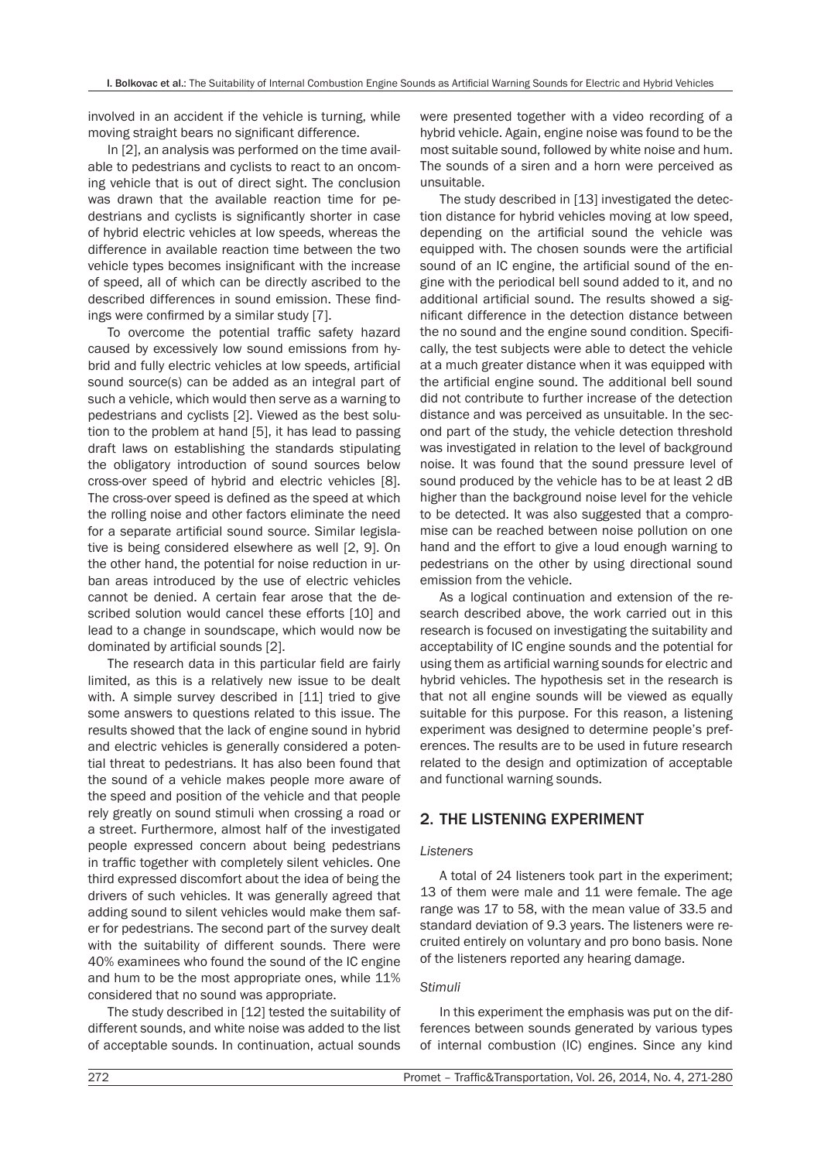involved in an accident if the vehicle is turning, while moving straight bears no significant difference.

In [2], an analysis was performed on the time available to pedestrians and cyclists to react to an oncoming vehicle that is out of direct sight. The conclusion was drawn that the available reaction time for pedestrians and cyclists is significantly shorter in case of hybrid electric vehicles at low speeds, whereas the difference in available reaction time between the two vehicle types becomes insignificant with the increase of speed, all of which can be directly ascribed to the described differences in sound emission. These findings were confirmed by a similar study [7].

To overcome the potential traffic safety hazard caused by excessively low sound emissions from hybrid and fully electric vehicles at low speeds, artificial sound source(s) can be added as an integral part of such a vehicle, which would then serve as a warning to pedestrians and cyclists [2]. Viewed as the best solution to the problem at hand [5], it has lead to passing draft laws on establishing the standards stipulating the obligatory introduction of sound sources below cross-over speed of hybrid and electric vehicles [8]. The cross-over speed is defined as the speed at which the rolling noise and other factors eliminate the need for a separate artificial sound source. Similar legislative is being considered elsewhere as well [2, 9]. On the other hand, the potential for noise reduction in urban areas introduced by the use of electric vehicles cannot be denied. A certain fear arose that the described solution would cancel these efforts [10] and lead to a change in soundscape, which would now be dominated by artificial sounds [2].

The research data in this particular field are fairly limited, as this is a relatively new issue to be dealt with. A simple survey described in [11] tried to give some answers to questions related to this issue. The results showed that the lack of engine sound in hybrid and electric vehicles is generally considered a potential threat to pedestrians. It has also been found that the sound of a vehicle makes people more aware of the speed and position of the vehicle and that people rely greatly on sound stimuli when crossing a road or a street. Furthermore, almost half of the investigated people expressed concern about being pedestrians in traffic together with completely silent vehicles. One third expressed discomfort about the idea of being the drivers of such vehicles. It was generally agreed that adding sound to silent vehicles would make them safer for pedestrians. The second part of the survey dealt with the suitability of different sounds. There were 40% examinees who found the sound of the IC engine and hum to be the most appropriate ones, while 11% considered that no sound was appropriate.

The study described in [12] tested the suitability of different sounds, and white noise was added to the list of acceptable sounds. In continuation, actual sounds were presented together with a video recording of a hybrid vehicle. Again, engine noise was found to be the most suitable sound, followed by white noise and hum. The sounds of a siren and a horn were perceived as unsuitable.

The study described in [13] investigated the detection distance for hybrid vehicles moving at low speed, depending on the artificial sound the vehicle was equipped with. The chosen sounds were the artificial sound of an IC engine, the artificial sound of the engine with the periodical bell sound added to it, and no additional artificial sound. The results showed a significant difference in the detection distance between the no sound and the engine sound condition. Specifically, the test subjects were able to detect the vehicle at a much greater distance when it was equipped with the artificial engine sound. The additional bell sound did not contribute to further increase of the detection distance and was perceived as unsuitable. In the second part of the study, the vehicle detection threshold was investigated in relation to the level of background noise. It was found that the sound pressure level of sound produced by the vehicle has to be at least 2 dB higher than the background noise level for the vehicle to be detected. It was also suggested that a compromise can be reached between noise pollution on one hand and the effort to give a loud enough warning to pedestrians on the other by using directional sound emission from the vehicle.

As a logical continuation and extension of the research described above, the work carried out in this research is focused on investigating the suitability and acceptability of IC engine sounds and the potential for using them as artificial warning sounds for electric and hybrid vehicles. The hypothesis set in the research is that not all engine sounds will be viewed as equally suitable for this purpose. For this reason, a listening experiment was designed to determine people's preferences. The results are to be used in future research related to the design and optimization of acceptable and functional warning sounds.

# 2. THE LISTENING EXPERIMENT

#### *Listeners*

A total of 24 listeners took part in the experiment; 13 of them were male and 11 were female. The age range was 17 to 58, with the mean value of 33.5 and standard deviation of 9.3 years. The listeners were recruited entirely on voluntary and pro bono basis. None of the listeners reported any hearing damage.

#### *Stimuli*

In this experiment the emphasis was put on the differences between sounds generated by various types of internal combustion (IC) engines. Since any kind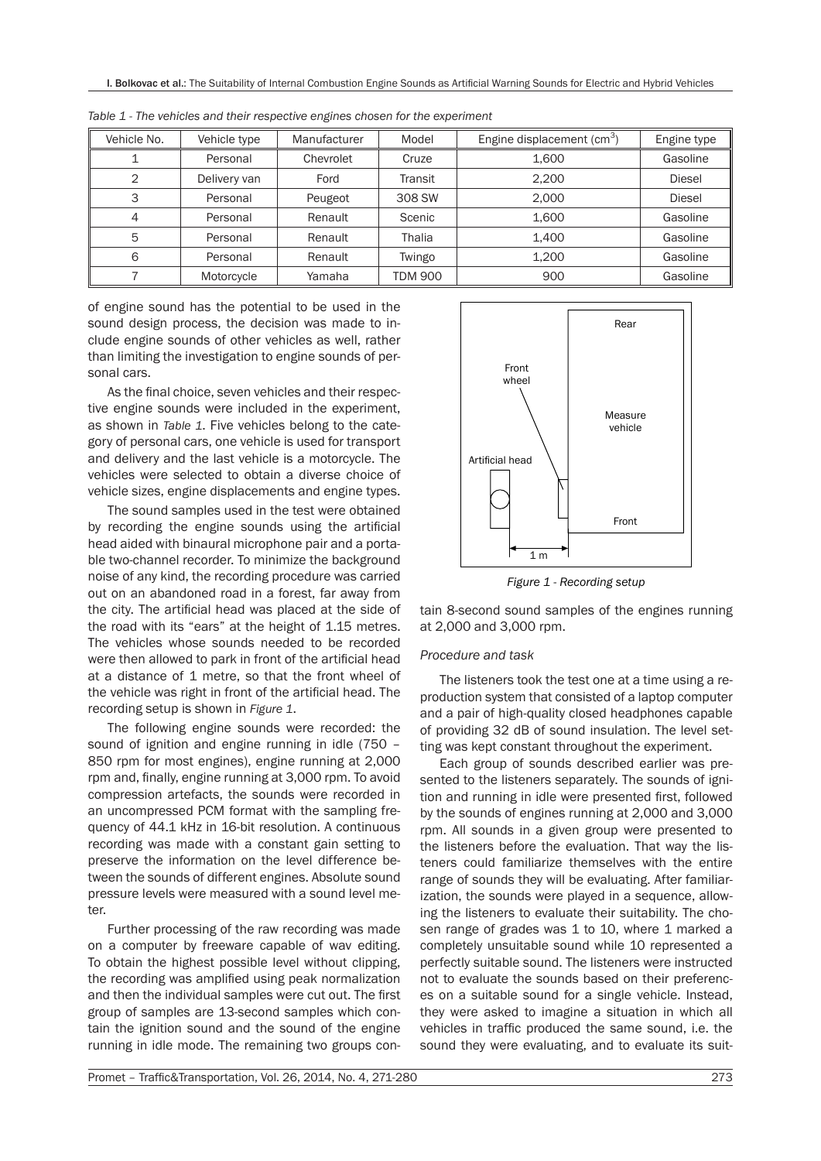| Vehicle No.    | Vehicle type | Manufacturer | Model   | Engine displacement (cm <sup>3</sup> ) | Engine type   |
|----------------|--------------|--------------|---------|----------------------------------------|---------------|
|                | Personal     | Chevrolet    | Cruze   | 1,600                                  | Gasoline      |
| $\overline{2}$ | Delivery van | Ford         | Transit | 2.200                                  | <b>Diesel</b> |
| 3              | Personal     | Peugeot      | 308 SW  | 2,000                                  | <b>Diesel</b> |
| 4              | Personal     | Renault      | Scenic  | 1,600                                  | Gasoline      |
| 5              | Personal     | Renault      | Thalia  | 1,400                                  | Gasoline      |
| 6              | Personal     | Renault      | Twingo  | 1.200                                  | Gasoline      |
|                | Motorcycle   | Yamaha       | TDM 900 | 900                                    | Gasoline      |

*Table 1 - The vehicles and their respective engines chosen for the experiment*

of engine sound has the potential to be used in the sound design process, the decision was made to include engine sounds of other vehicles as well, rather than limiting the investigation to engine sounds of personal cars.

As the final choice, seven vehicles and their respective engine sounds were included in the experiment, as shown in *Table 1*. Five vehicles belong to the category of personal cars, one vehicle is used for transport and delivery and the last vehicle is a motorcycle. The vehicles were selected to obtain a diverse choice of vehicle sizes, engine displacements and engine types.

The sound samples used in the test were obtained by recording the engine sounds using the artificial head aided with binaural microphone pair and a portable two-channel recorder. To minimize the background noise of any kind, the recording procedure was carried out on an abandoned road in a forest, far away from the city. The artificial head was placed at the side of the road with its "ears" at the height of 1.15 metres. The vehicles whose sounds needed to be recorded were then allowed to park in front of the artificial head at a distance of 1 metre, so that the front wheel of the vehicle was right in front of the artificial head. The recording setup is shown in *Figure 1*.

The following engine sounds were recorded: the sound of ignition and engine running in idle (750 – 850 rpm for most engines), engine running at 2,000 rpm and, finally, engine running at 3,000 rpm. To avoid compression artefacts, the sounds were recorded in an uncompressed PCM format with the sampling frequency of 44.1 kHz in 16-bit resolution. A continuous recording was made with a constant gain setting to preserve the information on the level difference between the sounds of different engines. Absolute sound pressure levels were measured with a sound level meter.

Further processing of the raw recording was made on a computer by freeware capable of wav editing. To obtain the highest possible level without clipping, the recording was amplified using peak normalization and then the individual samples were cut out. The first group of samples are 13-second samples which contain the ignition sound and the sound of the engine running in idle mode. The remaining two groups con-



*Figure 1 - Recording setup*

tain 8-second sound samples of the engines running at 2,000 and 3,000 rpm.

#### *Procedure and task*

The listeners took the test one at a time using a reproduction system that consisted of a laptop computer and a pair of high-quality closed headphones capable of providing 32 dB of sound insulation. The level setting was kept constant throughout the experiment.

Each group of sounds described earlier was presented to the listeners separately. The sounds of ignition and running in idle were presented first, followed by the sounds of engines running at 2,000 and 3,000 rpm. All sounds in a given group were presented to the listeners before the evaluation. That way the listeners could familiarize themselves with the entire range of sounds they will be evaluating. After familiarization, the sounds were played in a sequence, allowing the listeners to evaluate their suitability. The chosen range of grades was 1 to 10, where 1 marked a completely unsuitable sound while 10 represented a perfectly suitable sound. The listeners were instructed not to evaluate the sounds based on their preferences on a suitable sound for a single vehicle. Instead, they were asked to imagine a situation in which all vehicles in traffic produced the same sound, i.e. the sound they were evaluating, and to evaluate its suit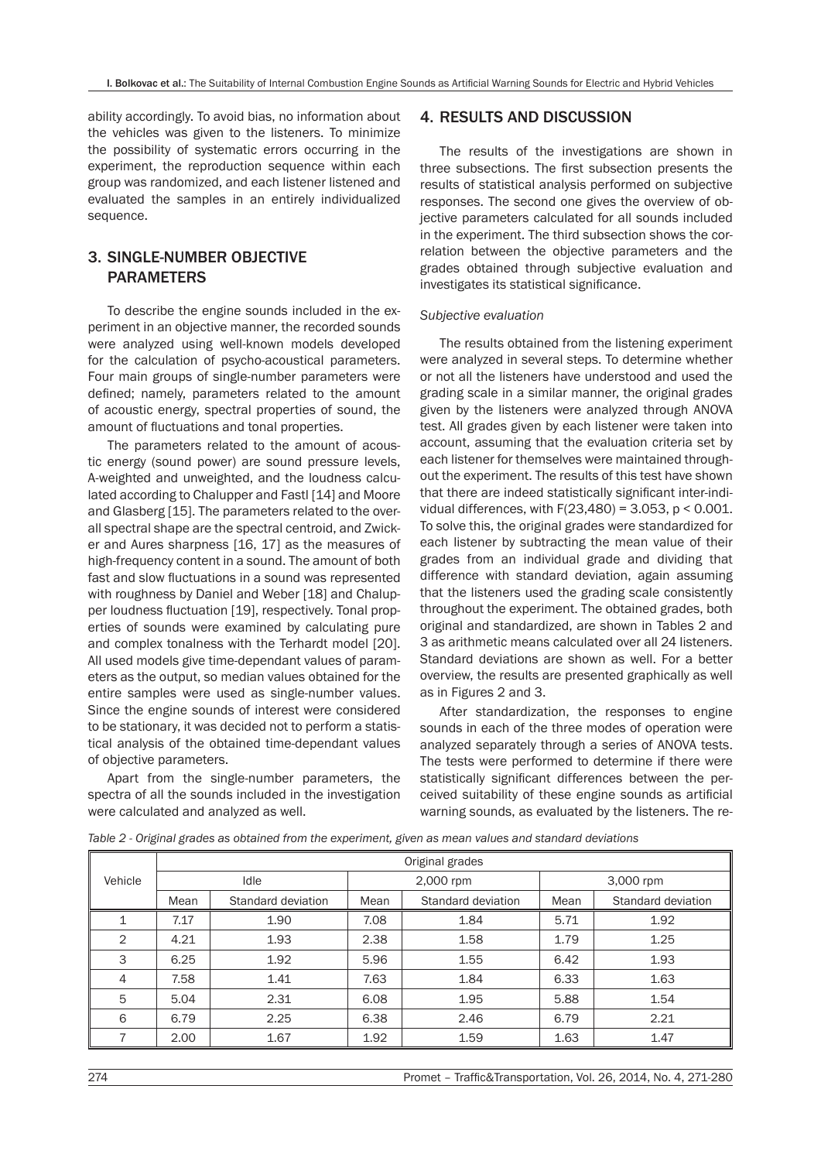ability accordingly. To avoid bias, no information about the vehicles was given to the listeners. To minimize the possibility of systematic errors occurring in the experiment, the reproduction sequence within each group was randomized, and each listener listened and evaluated the samples in an entirely individualized sequence.

# 3. SINGLE-NUMBER OBJECTIVE PARAMETERS

To describe the engine sounds included in the experiment in an objective manner, the recorded sounds were analyzed using well-known models developed for the calculation of psycho-acoustical parameters. Four main groups of single-number parameters were defined; namely, parameters related to the amount of acoustic energy, spectral properties of sound, the amount of fluctuations and tonal properties.

The parameters related to the amount of acoustic energy (sound power) are sound pressure levels, A-weighted and unweighted, and the loudness calculated according to Chalupper and Fastl [14] and Moore and Glasberg [15]. The parameters related to the overall spectral shape are the spectral centroid, and Zwicker and Aures sharpness [16, 17] as the measures of high-frequency content in a sound. The amount of both fast and slow fluctuations in a sound was represented with roughness by Daniel and Weber [18] and Chalupper loudness fluctuation [19], respectively. Tonal properties of sounds were examined by calculating pure and complex tonalness with the Terhardt model [20]. All used models give time-dependant values of parameters as the output, so median values obtained for the entire samples were used as single-number values. Since the engine sounds of interest were considered to be stationary, it was decided not to perform a statistical analysis of the obtained time-dependant values of objective parameters.

Apart from the single-number parameters, the spectra of all the sounds included in the investigation were calculated and analyzed as well.

# 4. RESULTS AND DISCUSSION

The results of the investigations are shown in three subsections. The first subsection presents the results of statistical analysis performed on subjective responses. The second one gives the overview of objective parameters calculated for all sounds included in the experiment. The third subsection shows the correlation between the objective parameters and the grades obtained through subjective evaluation and investigates its statistical significance.

#### *Subjective evaluation*

The results obtained from the listening experiment were analyzed in several steps. To determine whether or not all the listeners have understood and used the grading scale in a similar manner, the original grades given by the listeners were analyzed through ANOVA test. All grades given by each listener were taken into account, assuming that the evaluation criteria set by each listener for themselves were maintained throughout the experiment. The results of this test have shown that there are indeed statistically significant inter-individual differences, with  $F(23,480) = 3.053$ ,  $p < 0.001$ . To solve this, the original grades were standardized for each listener by subtracting the mean value of their grades from an individual grade and dividing that difference with standard deviation, again assuming that the listeners used the grading scale consistently throughout the experiment. The obtained grades, both original and standardized, are shown in Tables 2 and 3 as arithmetic means calculated over all 24 listeners. Standard deviations are shown as well. For a better overview, the results are presented graphically as well as in Figures 2 and 3.

After standardization, the responses to engine sounds in each of the three modes of operation were analyzed separately through a series of ANOVA tests. The tests were performed to determine if there were statistically significant differences between the perceived suitability of these engine sounds as artificial warning sounds, as evaluated by the listeners. The re-

|         | Original grades            |      |      |                    |           |                    |  |  |  |
|---------|----------------------------|------|------|--------------------|-----------|--------------------|--|--|--|
| Vehicle |                            | Idle |      | 2,000 rpm          | 3,000 rpm |                    |  |  |  |
|         | Standard deviation<br>Mean |      | Mean | Standard deviation | Mean      | Standard deviation |  |  |  |
|         | 7.17                       | 1.90 | 7.08 | 1.84               | 5.71      | 1.92               |  |  |  |
| 2       | 4.21                       | 1.93 | 2.38 | 1.58               | 1.79      | 1.25               |  |  |  |
| 3       | 6.25                       | 1.92 | 5.96 | 1.55               | 6.42      | 1.93               |  |  |  |
| 4       | 7.58                       | 1.41 | 7.63 | 1.84               | 6.33      | 1.63               |  |  |  |
| 5       | 5.04                       | 2.31 | 6.08 | 1.95               | 5.88      | 1.54               |  |  |  |
| 6       | 6.79                       | 2.25 | 6.38 | 2.46               | 6.79      | 2.21               |  |  |  |
|         | 2.00                       | 1.67 | 1.92 | 1.59               | 1.63      | 1.47               |  |  |  |

*Table 2 - Original grades as obtained from the experiment, given as mean values and standard deviations*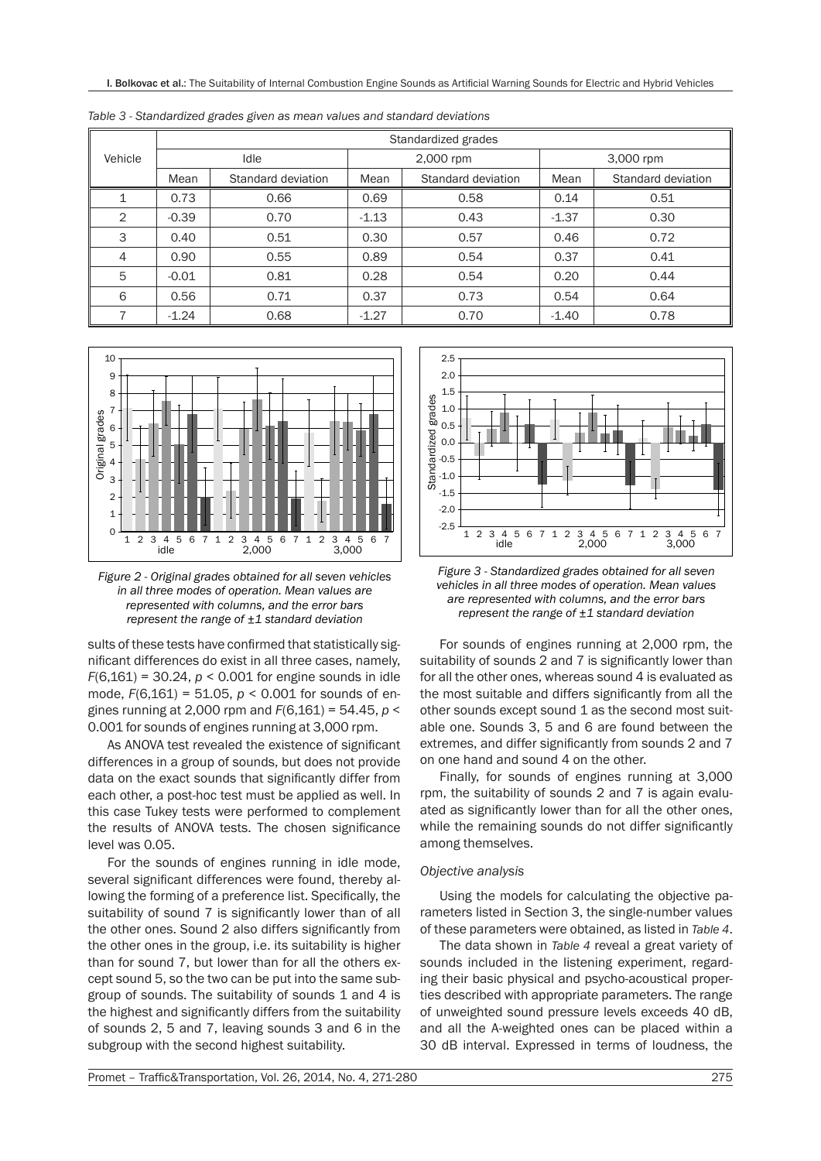|                | Standardized grades        |      |         |                    |           |                    |  |  |  |
|----------------|----------------------------|------|---------|--------------------|-----------|--------------------|--|--|--|
| Vehicle        |                            | Idle |         | 2,000 rpm          | 3,000 rpm |                    |  |  |  |
|                | Mean<br>Standard deviation |      | Mean    | Standard deviation | Mean      | Standard deviation |  |  |  |
|                | 0.73                       | 0.66 | 0.69    | 0.58               | 0.14      | 0.51               |  |  |  |
| 2              | $-0.39$                    | 0.70 | $-1.13$ | 0.43               | $-1.37$   | 0.30               |  |  |  |
| 3              | 0.40                       | 0.51 | 0.30    | 0.57               | 0.46      | 0.72               |  |  |  |
| $\overline{4}$ | 0.90                       | 0.55 | 0.89    | 0.54               | 0.37      | 0.41               |  |  |  |
| 5              | $-0.01$                    | 0.81 | 0.28    | 0.54               | 0.20      | 0.44               |  |  |  |
| 6              | 0.56                       | 0.71 | 0.37    | 0.73               | 0.54      | 0.64               |  |  |  |
| 7              | $-1.24$                    | 0.68 | $-1.27$ | 0.70               | $-1.40$   | 0.78               |  |  |  |

*Table 3 - Standardized grades given as mean values and standard deviations*



*Figure 2 - Original grades obtained for all seven vehicles in all three modes of operation. Mean values are represented with columns, and the error bars represent the range of ±1 standard deviation*

sults of these tests have confirmed that statistically significant differences do exist in all three cases, namely, *F*(6,161) = 30.24, *p* < 0.001 for engine sounds in idle mode, *F*(6,161) = 51.05, *p* < 0.001 for sounds of engines running at 2,000 rpm and *F*(6,161) = 54.45, *p* < 0.001 for sounds of engines running at 3,000 rpm.

As ANOVA test revealed the existence of significant differences in a group of sounds, but does not provide data on the exact sounds that significantly differ from each other, a post-hoc test must be applied as well. In this case Tukey tests were performed to complement the results of ANOVA tests. The chosen significance level was 0.05.

For the sounds of engines running in idle mode, several significant differences were found, thereby allowing the forming of a preference list. Specifically, the suitability of sound 7 is significantly lower than of all the other ones. Sound 2 also differs significantly from the other ones in the group, i.e. its suitability is higher than for sound 7, but lower than for all the others except sound 5, so the two can be put into the same subgroup of sounds. The suitability of sounds 1 and 4 is the highest and significantly differs from the suitability of sounds 2, 5 and 7, leaving sounds 3 and 6 in the subgroup with the second highest suitability.



*Figure 3 - Standardized grades obtained for all seven vehicles in all three modes of operation. Mean values are represented with columns, and the error bars represent the range of ±1 standard deviation*

For sounds of engines running at 2,000 rpm, the suitability of sounds 2 and 7 is significantly lower than for all the other ones, whereas sound 4 is evaluated as the most suitable and differs significantly from all the other sounds except sound 1 as the second most suitable one. Sounds 3, 5 and 6 are found between the extremes, and differ significantly from sounds 2 and 7 on one hand and sound 4 on the other.

Finally, for sounds of engines running at 3,000 rpm, the suitability of sounds 2 and 7 is again evaluated as significantly lower than for all the other ones, while the remaining sounds do not differ significantly among themselves.

#### *Objective analysis*

Using the models for calculating the objective parameters listed in Section 3, the single-number values of these parameters were obtained, as listed in *Table 4*.

The data shown in *Table 4* reveal a great variety of sounds included in the listening experiment, regarding their basic physical and psycho-acoustical properties described with appropriate parameters. The range of unweighted sound pressure levels exceeds 40 dB, and all the A-weighted ones can be placed within a 30 dB interval. Expressed in terms of loudness, the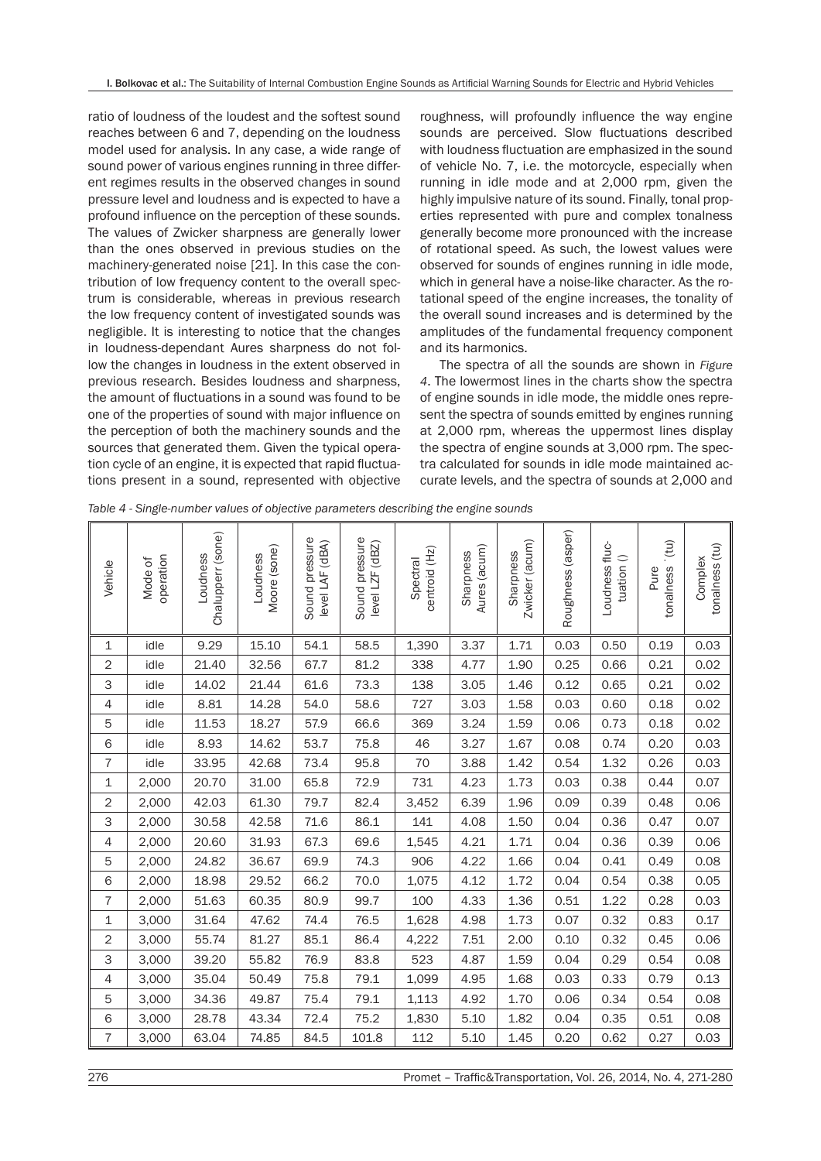ratio of loudness of the loudest and the softest sound reaches between 6 and 7, depending on the loudness model used for analysis. In any case, a wide range of sound power of various engines running in three different regimes results in the observed changes in sound pressure level and loudness and is expected to have a profound influence on the perception of these sounds. The values of Zwicker sharpness are generally lower than the ones observed in previous studies on the machinery-generated noise [21]. In this case the contribution of low frequency content to the overall spectrum is considerable, whereas in previous research the low frequency content of investigated sounds was negligible. It is interesting to notice that the changes in loudness-dependant Aures sharpness do not follow the changes in loudness in the extent observed in previous research. Besides loudness and sharpness, the amount of fluctuations in a sound was found to be one of the properties of sound with major influence on the perception of both the machinery sounds and the sources that generated them. Given the typical operation cycle of an engine, it is expected that rapid fluctuations present in a sound, represented with objective

roughness, will profoundly influence the way engine sounds are perceived. Slow fluctuations described with loudness fluctuation are emphasized in the sound of vehicle No. 7, i.e. the motorcycle, especially when running in idle mode and at 2,000 rpm, given the highly impulsive nature of its sound. Finally, tonal properties represented with pure and complex tonalness generally become more pronounced with the increase of rotational speed. As such, the lowest values were observed for sounds of engines running in idle mode, which in general have a noise-like character. As the rotational speed of the engine increases, the tonality of the overall sound increases and is determined by the amplitudes of the fundamental frequency component and its harmonics.

The spectra of all the sounds are shown in *Figure 4*. The lowermost lines in the charts show the spectra of engine sounds in idle mode, the middle ones represent the spectra of sounds emitted by engines running at 2,000 rpm, whereas the uppermost lines display the spectra of engine sounds at 3,000 rpm. The spectra calculated for sounds in idle mode maintained accurate levels, and the spectra of sounds at 2,000 and

*Table 4 - Single-number values of objective parameters describing the engine sounds*

| Vehicle        | operation<br>Mode of | Chalupperr (sone)<br>Loudness | Moore (sone)<br>Loudness | Sound pressure<br>level LAF (dBA) | Sound pressure<br>level LZF (dBZ) | centroid (Hz)<br>Spectral | Aures (acum)<br>Sharpness | Zwicker (acum)<br>Sharpness | Roughness (asper) | Loudness fluc-<br>tuation () | (tu)<br>tonalness<br>Pure | tonalness (tu)<br>Complex |
|----------------|----------------------|-------------------------------|--------------------------|-----------------------------------|-----------------------------------|---------------------------|---------------------------|-----------------------------|-------------------|------------------------------|---------------------------|---------------------------|
| 1              | idle                 | 9.29                          | 15.10                    | 54.1                              | 58.5                              | 1,390                     | 3.37                      | 1.71                        | 0.03              | 0.50                         | 0.19                      | 0.03                      |
| $\mathbf{2}$   | idle                 | 21.40                         | 32.56                    | 67.7                              | 81.2                              | 338                       | 4.77                      | 1.90                        | 0.25              | 0.66                         | 0.21                      | 0.02                      |
| 3              | idle                 | 14.02                         | 21.44                    | 61.6                              | 73.3                              | 138                       | 3.05                      | 1.46                        | 0.12              | 0.65                         | 0.21                      | 0.02                      |
| 4              | idle                 | 8.81                          | 14.28                    | 54.0                              | 58.6                              | 727                       | 3.03                      | 1.58                        | 0.03              | 0.60                         | 0.18                      | 0.02                      |
| 5              | idle                 | 11.53                         | 18.27                    | 57.9                              | 66.6                              | 369                       | 3.24                      | 1.59                        | 0.06              | 0.73                         | 0.18                      | 0.02                      |
| 6              | idle                 | 8.93                          | 14.62                    | 53.7                              | 75.8                              | 46                        | 3.27                      | 1.67                        | 0.08              | 0.74                         | 0.20                      | 0.03                      |
| $\overline{7}$ | idle                 | 33.95                         | 42.68                    | 73.4                              | 95.8                              | 70                        | 3.88                      | 1.42                        | 0.54              | 1.32                         | 0.26                      | 0.03                      |
| $\mathbf 1$    | 2,000                | 20.70                         | 31.00                    | 65.8                              | 72.9                              | 731                       | 4.23                      | 1.73                        | 0.03              | 0.38                         | 0.44                      | 0.07                      |
| 2              | 2,000                | 42.03                         | 61.30                    | 79.7                              | 82.4                              | 3,452                     | 6.39                      | 1.96                        | 0.09              | 0.39                         | 0.48                      | 0.06                      |
| 3              | 2,000                | 30.58                         | 42.58                    | 71.6                              | 86.1                              | 141                       | 4.08                      | 1.50                        | 0.04              | 0.36                         | 0.47                      | 0.07                      |
| 4              | 2,000                | 20.60                         | 31.93                    | 67.3                              | 69.6                              | 1,545                     | 4.21                      | 1.71                        | 0.04              | 0.36                         | 0.39                      | 0.06                      |
| 5              | 2,000                | 24.82                         | 36.67                    | 69.9                              | 74.3                              | 906                       | 4.22                      | 1.66                        | 0.04              | 0.41                         | 0.49                      | 0.08                      |
| 6              | 2,000                | 18.98                         | 29.52                    | 66.2                              | 70.0                              | 1,075                     | 4.12                      | 1.72                        | 0.04              | 0.54                         | 0.38                      | 0.05                      |
| $\overline{7}$ | 2,000                | 51.63                         | 60.35                    | 80.9                              | 99.7                              | 100                       | 4.33                      | 1.36                        | 0.51              | 1.22                         | 0.28                      | 0.03                      |
| 1              | 3,000                | 31.64                         | 47.62                    | 74.4                              | 76.5                              | 1,628                     | 4.98                      | 1.73                        | 0.07              | 0.32                         | 0.83                      | 0.17                      |
| $\overline{c}$ | 3,000                | 55.74                         | 81.27                    | 85.1                              | 86.4                              | 4,222                     | 7.51                      | 2.00                        | 0.10              | 0.32                         | 0.45                      | 0.06                      |
| 3              | 3,000                | 39.20                         | 55.82                    | 76.9                              | 83.8                              | 523                       | 4.87                      | 1.59                        | 0.04              | 0.29                         | 0.54                      | 0.08                      |
| 4              | 3,000                | 35.04                         | 50.49                    | 75.8                              | 79.1                              | 1,099                     | 4.95                      | 1.68                        | 0.03              | 0.33                         | 0.79                      | 0.13                      |
| 5              | 3,000                | 34.36                         | 49.87                    | 75.4                              | 79.1                              | 1,113                     | 4.92                      | 1.70                        | 0.06              | 0.34                         | 0.54                      | 0.08                      |
| 6              | 3,000                | 28.78                         | 43.34                    | 72.4                              | 75.2                              | 1,830                     | 5.10                      | 1.82                        | 0.04              | 0.35                         | 0.51                      | 0.08                      |
| $\overline{7}$ | 3,000                | 63.04                         | 74.85                    | 84.5                              | 101.8                             | 112                       | 5.10                      | 1.45                        | 0.20              | 0.62                         | 0.27                      | 0.03                      |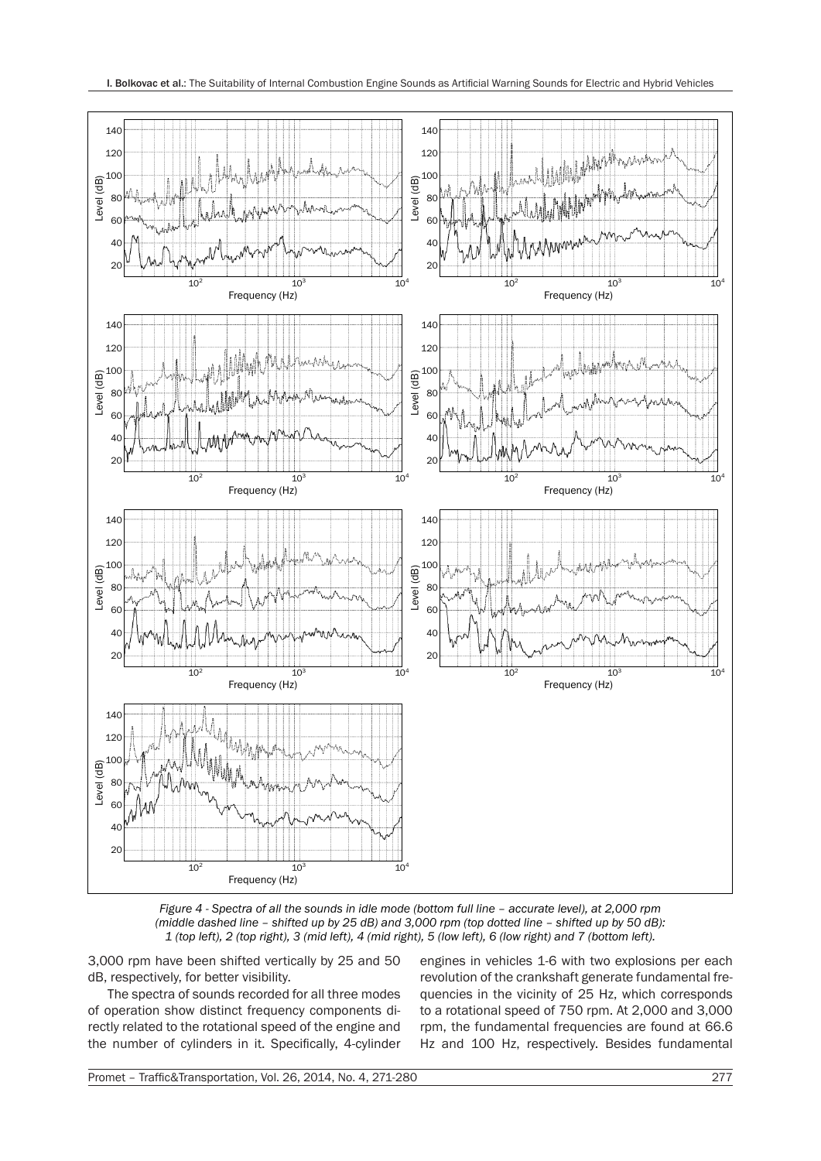

*Figure 4 - Spectra of all the sounds in idle mode (bottom full line – accurate level), at 2,000 rpm (middle dashed line – shifted up by 25 dB) and 3,000 rpm (top dotted line – shifted up by 50 dB): 1 (top left), 2 (top right), 3 (mid left), 4 (mid right), 5 (low left), 6 (low right) and 7 (bottom left).*

3,000 rpm have been shifted vertically by 25 and 50 dB, respectively, for better visibility.

The spectra of sounds recorded for all three modes of operation show distinct frequency components directly related to the rotational speed of the engine and the number of cylinders in it. Specifically, 4-cylinder engines in vehicles 1-6 with two explosions per each revolution of the crankshaft generate fundamental frequencies in the vicinity of 25 Hz, which corresponds to a rotational speed of 750 rpm. At 2,000 and 3,000 rpm, the fundamental frequencies are found at 66.6 Hz and 100 Hz, respectively. Besides fundamental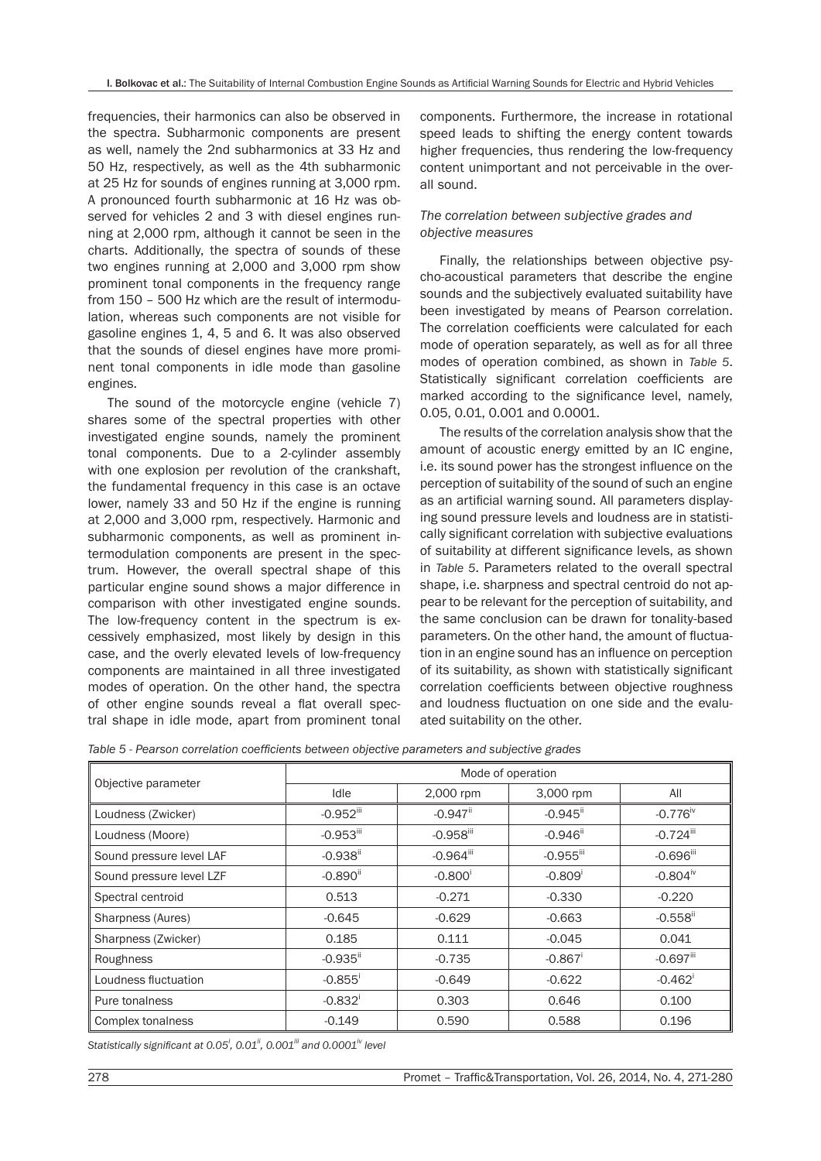frequencies, their harmonics can also be observed in the spectra. Subharmonic components are present as well, namely the 2nd subharmonics at 33 Hz and 50 Hz, respectively, as well as the 4th subharmonic at 25 Hz for sounds of engines running at 3,000 rpm. A pronounced fourth subharmonic at 16 Hz was observed for vehicles 2 and 3 with diesel engines running at 2,000 rpm, although it cannot be seen in the charts. Additionally, the spectra of sounds of these two engines running at 2,000 and 3,000 rpm show prominent tonal components in the frequency range from 150 – 500 Hz which are the result of intermodulation, whereas such components are not visible for gasoline engines 1, 4, 5 and 6. It was also observed that the sounds of diesel engines have more prominent tonal components in idle mode than gasoline engines.

The sound of the motorcycle engine (vehicle 7) shares some of the spectral properties with other investigated engine sounds, namely the prominent tonal components. Due to a 2-cylinder assembly with one explosion per revolution of the crankshaft, the fundamental frequency in this case is an octave lower, namely 33 and 50 Hz if the engine is running at 2,000 and 3,000 rpm, respectively. Harmonic and subharmonic components, as well as prominent intermodulation components are present in the spectrum. However, the overall spectral shape of this particular engine sound shows a major difference in comparison with other investigated engine sounds. The low-frequency content in the spectrum is excessively emphasized, most likely by design in this case, and the overly elevated levels of low-frequency components are maintained in all three investigated modes of operation. On the other hand, the spectra of other engine sounds reveal a flat overall spectral shape in idle mode, apart from prominent tonal

components. Furthermore, the increase in rotational speed leads to shifting the energy content towards higher frequencies, thus rendering the low-frequency content unimportant and not perceivable in the overall sound.

# *The correlation between subjective grades and objective measures*

Finally, the relationships between objective psycho-acoustical parameters that describe the engine sounds and the subjectively evaluated suitability have been investigated by means of Pearson correlation. The correlation coefficients were calculated for each mode of operation separately, as well as for all three modes of operation combined, as shown in *Table 5*. Statistically significant correlation coefficients are marked according to the significance level, namely, 0.05, 0.01, 0.001 and 0.0001.

The results of the correlation analysis show that the amount of acoustic energy emitted by an IC engine, i.e. its sound power has the strongest influence on the perception of suitability of the sound of such an engine as an artificial warning sound. All parameters displaying sound pressure levels and loudness are in statistically significant correlation with subjective evaluations of suitability at different significance levels, as shown in *Table 5*. Parameters related to the overall spectral shape, i.e. sharpness and spectral centroid do not appear to be relevant for the perception of suitability, and the same conclusion can be drawn for tonality-based parameters. On the other hand, the amount of fluctuation in an engine sound has an influence on perception of its suitability, as shown with statistically significant correlation coefficients between objective roughness and loudness fluctuation on one side and the evaluated suitability on the other.

*Table 5 - Pearson correlation coefficients between objective parameters and subjective grades*

|                          | Mode of operation       |                         |                         |                         |  |  |  |  |
|--------------------------|-------------------------|-------------------------|-------------------------|-------------------------|--|--|--|--|
| Objective parameter      | Idle                    | 2,000 rpm               | 3,000 rpm               | All                     |  |  |  |  |
| Loudness (Zwicker)       | $-0.952$ <sup>iii</sup> | $-0.947$ <sup>ii</sup>  | $-0.945$ <sup>ii</sup>  | $-0.776$ <sup>iv</sup>  |  |  |  |  |
| Loudness (Moore)         | $-0.953$ <sup>iii</sup> | $-0.958$ <sup>iii</sup> | $-0.946$ <sup>ii</sup>  | $-0.724$ <sup>iii</sup> |  |  |  |  |
| Sound pressure level LAF | $-0.938$ <sup>ii</sup>  | $-0.964$ <sup>iii</sup> | $-0.955$ <sup>iii</sup> | $-0.696$ <sup>iii</sup> |  |  |  |  |
| Sound pressure level LZF | $-0.890$ <sup>ii</sup>  | $-0.800$                | $-0.809'$               | $-0.804^{\text{iv}}$    |  |  |  |  |
| Spectral centroid        | 0.513                   | $-0.271$                | $-0.330$                | $-0.220$                |  |  |  |  |
| Sharpness (Aures)        | $-0.645$                | $-0.629$                | $-0.663$                | $-0.558$ <sup>ii</sup>  |  |  |  |  |
| Sharpness (Zwicker)      | 0.185                   | 0.111                   | $-0.045$                | 0.041                   |  |  |  |  |
| Roughness                | $-0.935$ <sup>ii</sup>  | $-0.735$                | $-0.867$                | $-0.697$ <sup>iii</sup> |  |  |  |  |
| Loudness fluctuation     | $-0.855'$               | $-0.649$                | $-0.622$                | $-0.462$ <sup>i</sup>   |  |  |  |  |
| Pure tonalness           | $-0.832$ <sup>i</sup>   | 0.303                   | 0.646                   | 0.100                   |  |  |  |  |
| Complex tonalness        | $-0.149$                | 0.590                   | 0.588                   | 0.196                   |  |  |  |  |

*Statistically significant at 0.05<sup>i</sup> , 0.01ii, 0.001iii and 0.0001iv level*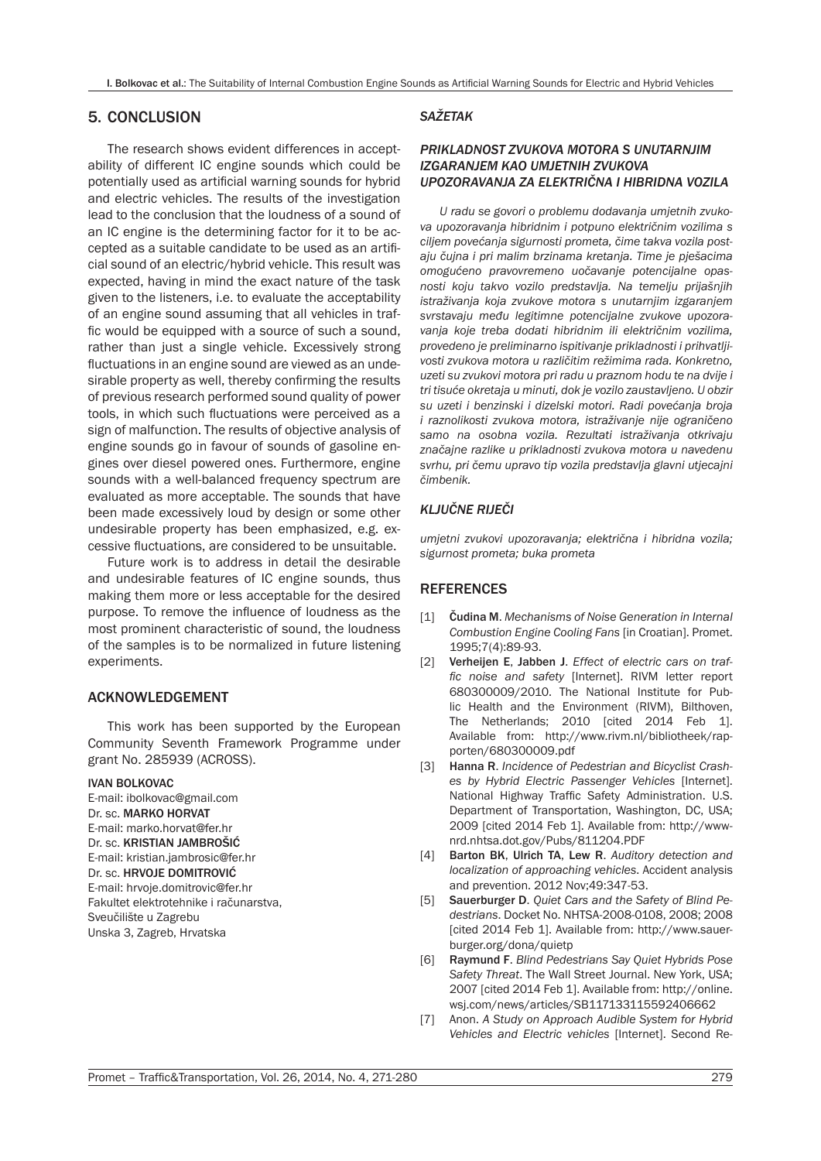# 5. CONCLUSION

The research shows evident differences in acceptability of different IC engine sounds which could be potentially used as artificial warning sounds for hybrid and electric vehicles. The results of the investigation lead to the conclusion that the loudness of a sound of an IC engine is the determining factor for it to be accepted as a suitable candidate to be used as an artificial sound of an electric/hybrid vehicle. This result was expected, having in mind the exact nature of the task given to the listeners, i.e. to evaluate the acceptability of an engine sound assuming that all vehicles in traffic would be equipped with a source of such a sound, rather than just a single vehicle. Excessively strong fluctuations in an engine sound are viewed as an undesirable property as well, thereby confirming the results of previous research performed sound quality of power tools, in which such fluctuations were perceived as a sign of malfunction. The results of objective analysis of engine sounds go in favour of sounds of gasoline engines over diesel powered ones. Furthermore, engine sounds with a well-balanced frequency spectrum are evaluated as more acceptable. The sounds that have been made excessively loud by design or some other undesirable property has been emphasized, e.g. excessive fluctuations, are considered to be unsuitable.

Future work is to address in detail the desirable and undesirable features of IC engine sounds, thus making them more or less acceptable for the desired purpose. To remove the influence of loudness as the most prominent characteristic of sound, the loudness of the samples is to be normalized in future listening experiments.

#### ACKNOWLEDGEMENT

This work has been supported by the European Community Seventh Framework Programme under grant No. 285939 (ACROSS).

#### IVAN BOLKOVAC

E-mail: ibolkovac@gmail.com Dr. sc. MARKO HORVAT E-mail: marko.horvat@fer.hr Dr. sc. KRISTIAN JAMBROŠIĆ E-mail: kristian.jambrosic@fer.hr Dr. sc. HRVOJE DOMITROVIĆ E-mail: hrvoje.domitrovic@fer.hr Fakultet elektrotehnike i računarstva, Sveučilište u Zagrebu Unska 3, Zagreb, Hrvatska

#### *SAŽETAK*

### *PRIKLADNOST ZVUKOVA MOTORA S UNUTARNJIM IZGARANJEM KAO UMJETNIH ZVUKOVA UPOZORAVANJA ZA ELEKTRIČNA I HIBRIDNA VOZILA*

*U radu se govori o problemu dodavanja umjetnih zvukova upozoravanja hibridnim i potpuno električnim vozilima s ciljem povećanja sigurnosti prometa, čime takva vozila postaju čujna i pri malim brzinama kretanja. Time je pješacima omogućeno pravovremeno uočavanje potencijalne opasnosti koju takvo vozilo predstavlja. Na temelju prijašnjih istraživanja koja zvukove motora s unutarnjim izgaranjem svrstavaju među legitimne potencijalne zvukove upozoravanja koje treba dodati hibridnim ili električnim vozilima, provedeno je preliminarno ispitivanje prikladnosti i prihvatljivosti zvukova motora u različitim režimima rada. Konkretno, uzeti su zvukovi motora pri radu u praznom hodu te na dvije i tri tisuće okretaja u minuti, dok je vozilo zaustavljeno. U obzir su uzeti i benzinski i dizelski motori. Radi povećanja broja i raznolikosti zvukova motora, istraživanje nije ograničeno samo na osobna vozila. Rezultati istraživanja otkrivaju značajne razlike u prikladnosti zvukova motora u navedenu svrhu, pri čemu upravo tip vozila predstavlja glavni utjecajni čimbenik.*

# *KLJUČNE RIJEČI*

*umjetni zvukovi upozoravanja; električna i hibridna vozila; sigurnost prometa; buka prometa*

# **REFERENCES**

- [1] Čudina M. *Mechanisms of Noise Generation in Internal Combustion Engine Cooling Fans* [in Croatian]. Promet. 1995;7(4):89-93.
- [2] Verheijen E, Jabben J. *Effect of electric cars on traffic noise and safety* [Internet]. RIVM letter report 680300009/2010. The National Institute for Public Health and the Environment (RIVM), Bilthoven, The Netherlands; 2010 [cited 2014 Feb 1]. Available from: http://www.rivm.nl/bibliotheek/rapporten/680300009.pdf
- [3] Hanna R. *Incidence of Pedestrian and Bicyclist Crashes by Hybrid Electric Passenger Vehicles* [Internet]. National Highway Traffic Safety Administration. U.S. Department of Transportation, Washington, DC, USA; 2009 [cited 2014 Feb 1]. Available from: http://wwwnrd.nhtsa.dot.gov/Pubs/811204.PDF
- [4] Barton BK, Ulrich TA, Lew R. *Auditory detection and localization of approaching vehicles*. Accident analysis and prevention. 2012 Nov;49:347-53.
- [5] Sauerburger D. *Quiet Cars and the Safety of Blind Pedestrians*. Docket No. NHTSA-2008-0108, 2008; 2008 [cited 2014 Feb 1]. Available from: http://www.sauerburger.org/dona/quietp
- [6] Raymund F. *Blind Pedestrians Say Quiet Hybrids Pose Safety Threat*. The Wall Street Journal. New York, USA; 2007 [cited 2014 Feb 1]. Available from: http://online. wsj.com/news/articles/SB117133115592406662
- [7] Anon. *A Study on Approach Audible System for Hybrid Vehicles and Electric vehicles* [Internet]. Second Re-